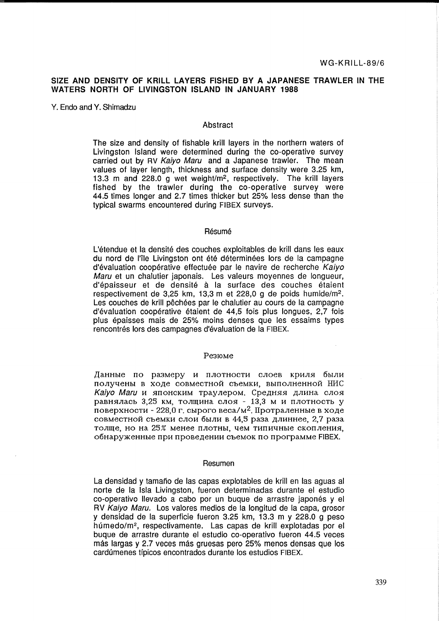# SIZE AND DENSITY OF KRILL LAYERS FISHED BY A JAPANESE TRAWLER IN THE WATERS NORTH OF L1VINGSTON ISLAND IN JANUARY 1988

Y. Endo and Y. Shimadzu

# Abstract

The size and density of fishable krill layers in the northern waters of Livingston Island were determined during the co-operative survey carried out by RV Kaiyo Maru and a Japanese trawler. The mean values of layer length, thickness and surface density were 3.25 km, 13.3 m and 228.0 g wet weight/m<sup>2</sup>, respectively. The krill layers fished by the trawler during the co-operative survey were 44.5 times longer and 2.7 times thicker but 25% less dense than the typical swarms encountered during FIBEX surveys.

#### Résumé

L'étendue et la densité des couches exploitables de krill dans les eaux du nord de l'île Livingston ont été déterminées lors de la campagne d'évaluation coopérative effectuée par le navire de recherche Kaiyo Maru et un chalutier japonais. Les valeurs moyennes de longueur, d'épaisseur et de densité à la surface des couches étaient respectivement de 3,25 km, 13,3 m et 228,0 g de poids humide/m<sup>2</sup>. Les couches de krill pêchées par le chalutier au cours de la campagne d'evaluation cooperative etaient de 44,5 fois plus longues, 2,7 fois plus epaisses mais de 25% moins denses que les essaims types rencontrés lors des campagnes d'évaluation de la FIBEX.

#### Pe3IOMe

Данные по размеру и плотности слоев криля были получены в ходе совместной съемки, выполненной НИС Kaiyo Maru и японским траулером. Средняя длина слоя равнялась 3,25 км, толщина слоя - 13,3 м и плотность у поверхности - 228,0 г. сырого веса/м<sup>2</sup>. Протраленные в ходе совместной съемки слои были в 44,5 раза длиннее, 2,7 раза толще, но на 25% менее плотны, чем типичные скопления, обнаруженные при проведении съемок по программе FIBEX.

#### Resumen

La densidad y tamafio de las capas explotables de krill en las aguas al norte de la Isla Livingston, fueron determinadas durante el estudio co-operativo llevado a cabo por un buque de arrastre japonés y el RV Kaiyo Maru. Los valores medios de la longitud de la capa, grosor y densidad de la superficie fueron 3.25 km, 13.3 m y 228.0 g peso húmedo/m<sup>2</sup>, respectivamente. Las capas de krill explotadas por el buque de arrastre durante el estudio co-operativo fueron 44.5 veces más largas y 2.7 veces más gruesas pero 25% menos densas que los cardumenes tfpicos encontrados durante los estudios FIBEX.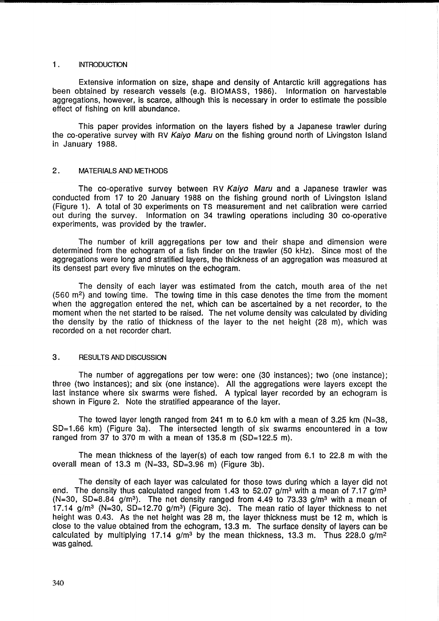## 1. INTRODUCTION

Extensive information on size, shape and density of Antarctic krill aggregations has been obtained by research vessels (e.g. BIOMASS, 1986). Information on harvestable aggregations, however, is scarce, although this is necessary in order to estimate the possible effect of fishing on krill abundance.

This paper provides information on the layers fished by a Japanese trawler during the co-operative survey with RV Kaiyo Maru on the fishing ground north of Livingston Island in January 1988.

### 2 . MATERIALS AND METHODS

The co-operative survey between RV Kaiyo Maru and a Japanese trawler was conducted from 17 to 20 January 1988 on the fishing ground north of Livingston Island (Figure 1). A total of 30 experiments on TS measurement and net calibration were carried out during the survey. Information on 34 trawling operations including 30 co-operative experiments, was provided by the trawler.

The number of krill aggregations per tow and their shape and dimension were determined from the echogram of a fish finder on the trawler (50 kHz). Since most of the aggregations were long and stratified layers, the thickness of an aggregation was measured at its densest part every five minutes on the echogram.

The density of each layer was estimated from the catch, mouth area of the net (560 m2) and towing time. The towing time in this case denotes the time from the moment when the aggregation entered the net, which can be ascertained by a net recorder, to the moment when the net started to be raised. The net volume density was calculated by dividing the density by the ratio of thickness of the layer to the net height (28 m), which was recorded on a net recorder chart.

## 3. RESULTS AND DISCUSSION

The number of aggregations per tow were: one (30 instances); two (one instance); three (two instances); and six (one instance). All the aggregations were layers except the last instance where six swarms were fished. A typical layer recorded by an echogram is shown in Figure 2. Note the stratified appearance of the layer.

The towed layer length ranged from 241 m to 6.0 km with a mean of 3.25 km  $(N=38)$ . SO=1.66 km) (Figure 3a). The intersected length of six swarms encountered in a tow ranged from 37 to 370 m with a mean of 135.8 m (SD=122.5 m).

The mean thickness of the layer(s) of each tow ranged from 6.1 to 22.8 m with the overall mean of 13.3 m (N=33, SO=3.96 m) (Figure 3b).

The density of each layer was calculated for those tows during which a layer did not end. The density thus calculated ranged from 1.43 to 52.07 g/m<sup>3</sup> with a mean of 7.17 g/m<sup>3</sup> (N=30, SD=8.84 g/m<sup>3</sup>). The net density ranged from 4.49 to 73.33 g/m<sup>3</sup> with a mean of 17.14 g/m<sup>3</sup> (N=30, SD=12.70 g/m<sup>3</sup>) (Figure 3c). The mean ratio of layer thickness to net height was 0.43. As the net height was 28 m, the layer thickness must be 12 m, which is close to the value obtained from the echogram, 13.3 m. The surface density of layers can be calculated by multiplying 17.14  $g/m<sup>3</sup>$  by the mean thickness, 13.3 m. Thus 228.0  $g/m<sup>2</sup>$ was gained.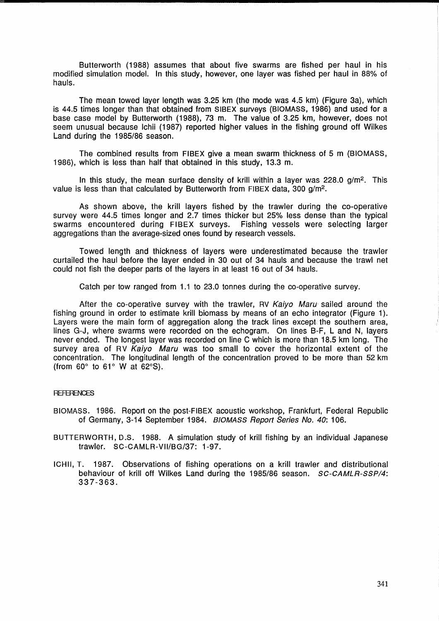Butterworth (1988) assumes that about five swarms are fished per haul in his modified simulation model. In this study, however, one layer was fished per haul in 88% of hauls.

The mean towed layer length was 3.25 km (the mode was 4.5 km) (Figure 3a), which is 44.5 times longer than that obtained from SIBEX surveys (BIOMASS, 1986) and used for a base case model by Butterworth (1988), 73 m. The value of 3.25 km, however, does not seem unusual because Ichii (1987) reported higher values in the fishing ground off Wilkes Land during the 1985/86 season.

The combined results from FIBEX give a mean swarm thickness of 5 m (BIOMASS, 1986), which is less than half that obtained in this study, 13.3 m.

In this study, the mean surface density of krill within a layer was  $228.0$  g/m<sup>2</sup>. This value is less than that calculated by Butterworth from FIBEX data, 300 g/m*<sup>2</sup> •* 

As shown above, the krill layers fished by the trawler during the co-operative survey were 44.5 times longer and 2.7 times thicker but 25% less dense than the typical swarms encountered during FIBEX surveys. Fishing vessels were selecting larger aggregations than the average-sized ones found by research vessels.

Towed length and thickness of layers were underestimated because the trawler curtailed the haul before the layer ended in 30 out of 34 hauls and because the trawl net could not fish the deeper parts of the layers in at least 16 out of 34 hauls.

Catch per tow ranged from 1.1 to 23.0 tonnes during the co-operative survey.

After the co-operative survey with the trawler, RV Kaiyo Maru sailed around the fishing ground in order to estimate krill biomass by means of an echo integrator (Figure 1). Layers were the main form of aggregation along the track lines except the southern area, lines G-J, where swarms were recorded on the echogram. On lines B-F, Land N, layers never ended. The longest layer was recorded on line C which is more than 18.5 km long. The survey area of RV Kaiyo Maru was too small to cover the horizontal extent of the concentration. The longitudinal length of the concentration proved to be more than 52 km (from  $60^\circ$  to  $61^\circ$  W at  $62^\circ$ S).

## **REFERENCES**

- BIOMASS. 1986. Report on the post-FIBEX acoustic workshop, Frankfurt, Federal Republic of Germany, 3-14 September 1984. B/OMASS Report Series No. 40: 106.
- BUTTERWORTH,D.S. 1988. A simulation study of krill fishing by an individual Japanese trawler. SC-CAMLR-VII/BG/37: 1-97.
- ICHII, T. 1987. Observations of fishing operations on a krill trawler and distributional behaviour of krill off Wilkes Land during the 1985/86 season. SC-CAMLR-SSP/4: 337-363.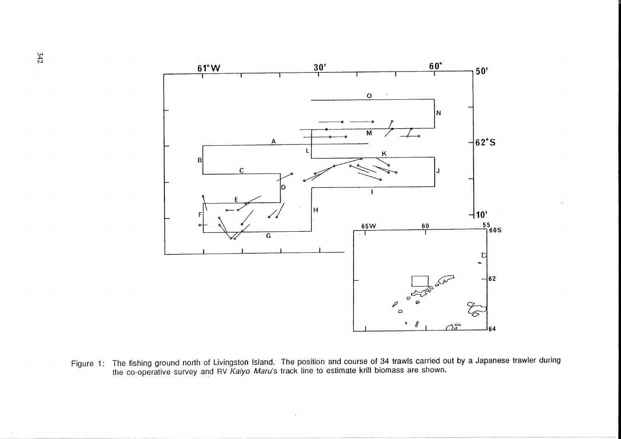

Figure 1: The fishing ground north of Livingston Island. The position and course of 34 trawls carried out by a Japanese trawler during the co-operative survey and RV *Kaiyo Maru*'s track line to estimate krill biomass are shown.

 $\sim 10^{-1}$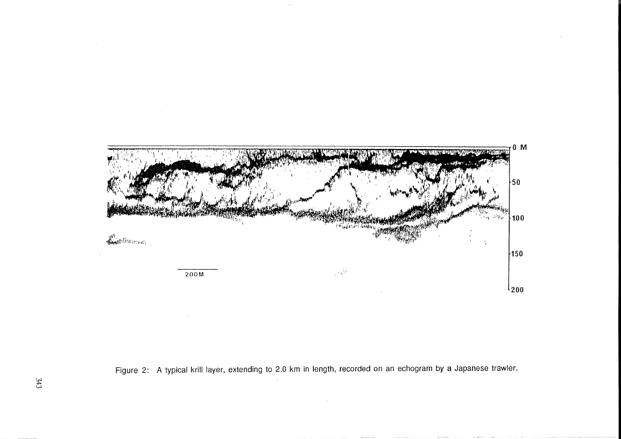

Figure 2: A typical krill layer, extending to 2.0 km in length, recorded on an echogram by a Japanese trawler.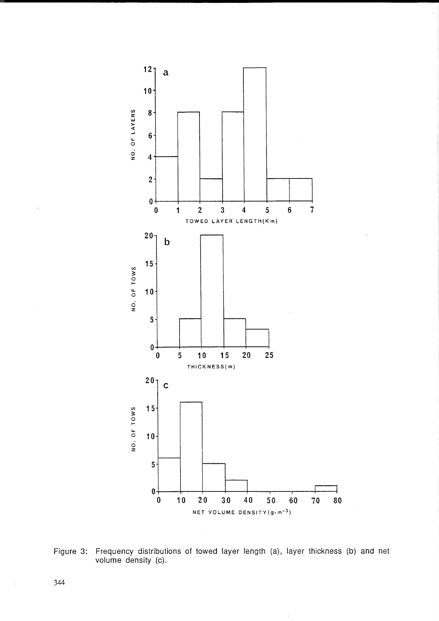

Figure 3: Frequency distributions of towed layer length (a), layer thickness (b) and net volume density (c).

 $\bar{z}$ 

344

 $\hat{\boldsymbol{\beta}}$